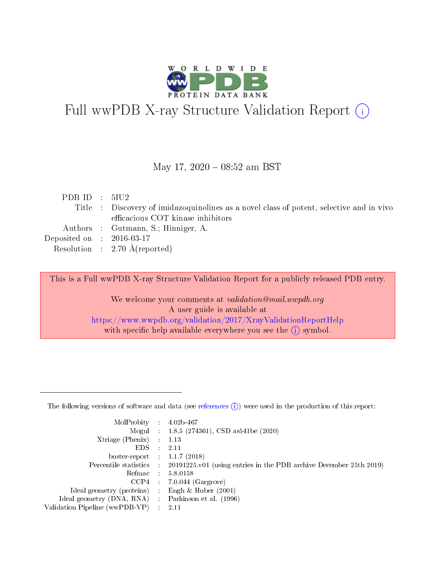

# Full wwPDB X-ray Structure Validation Report (i)

#### May 17,  $2020 - 08:52$  am BST

| PDBID : 5IU2                |                                                                                          |
|-----------------------------|------------------------------------------------------------------------------------------|
|                             | Title : Discovery of imidazoquinolines as a novel class of potent, selective and in vivo |
|                             | efficacious COT kinase inhibitors                                                        |
|                             | Authors : Gutmann, S.; Hinniger, A.                                                      |
| Deposited on : $2016-03-17$ |                                                                                          |
|                             | Resolution : $2.70 \text{ Å}$ (reported)                                                 |

This is a Full wwPDB X-ray Structure Validation Report for a publicly released PDB entry.

We welcome your comments at validation@mail.wwpdb.org A user guide is available at <https://www.wwpdb.org/validation/2017/XrayValidationReportHelp> with specific help available everywhere you see the  $(i)$  symbol.

The following versions of software and data (see [references](https://www.wwpdb.org/validation/2017/XrayValidationReportHelp#references)  $(1)$ ) were used in the production of this report:

| MolProbity :                   |               | $4.02b - 467$                                                               |
|--------------------------------|---------------|-----------------------------------------------------------------------------|
|                                |               | Mogul : $1.8.5$ (274361), CSD as 541be (2020)                               |
| Xtriage (Phenix)               | $\mathcal{L}$ | 1.13                                                                        |
| EDS.                           |               | 2.11                                                                        |
| buster-report : $1.1.7$ (2018) |               |                                                                             |
| Percentile statistics :        |               | $20191225 \text{v}01$ (using entries in the PDB archive December 25th 2019) |
| Refmac :                       |               | 5.8.0158                                                                    |
| CCP4                           |               | $7.0.044$ (Gargrove)                                                        |
| Ideal geometry (proteins) :    |               | Engh $\&$ Huber (2001)                                                      |
| Ideal geometry (DNA, RNA) :    |               | Parkinson et al. (1996)                                                     |
| Validation Pipeline (wwPDB-VP) | $\mathcal{L}$ | 2.11                                                                        |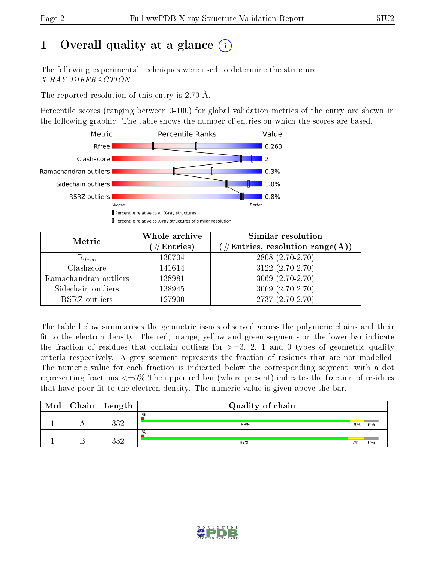# 1 [O](https://www.wwpdb.org/validation/2017/XrayValidationReportHelp#overall_quality)verall quality at a glance  $(i)$

The following experimental techniques were used to determine the structure: X-RAY DIFFRACTION

The reported resolution of this entry is 2.70 Å.

Percentile scores (ranging between 0-100) for global validation metrics of the entry are shown in the following graphic. The table shows the number of entries on which the scores are based.



| Metric                | Whole archive<br>$(\#\text{Entries})$ | Similar resolution<br>$(\#\text{Entries},\,\text{resolution}\,\,\text{range}(\textup{\AA}))$ |
|-----------------------|---------------------------------------|----------------------------------------------------------------------------------------------|
| $R_{free}$            | 130704                                | $2808(2.70-2.70)$                                                                            |
| Clashscore            | 141614                                | $3122(2.70-2.70)$                                                                            |
| Ramachandran outliers | 138981                                | $3069(2.70-2.70)$                                                                            |
| Sidechain outliers    | 138945                                | $3069(2.70-2.70)$                                                                            |
| RSRZ outliers         | 127900                                | $\overline{2737 (2.70-2.70)}$                                                                |

The table below summarises the geometric issues observed across the polymeric chains and their fit to the electron density. The red, orange, yellow and green segments on the lower bar indicate the fraction of residues that contain outliers for  $>=3, 2, 1$  and 0 types of geometric quality criteria respectively. A grey segment represents the fraction of residues that are not modelled. The numeric value for each fraction is indicated below the corresponding segment, with a dot representing fractions  $\epsilon=5\%$  The upper red bar (where present) indicates the fraction of residues that have poor fit to the electron density. The numeric value is given above the bar.

| Mol | $Chain \  Length$ | Quality of chain |    |    |
|-----|-------------------|------------------|----|----|
|     | ววา<br>. <i>.</i> | $\%$<br>88%      | 6% | 6% |
|     | າາດ<br>ے ت        | $\%$<br>87%      | 7% | 6% |

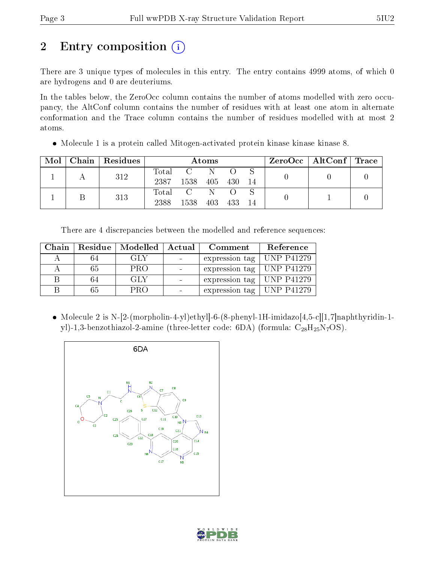# 2 Entry composition  $\left( \cdot \right)$

There are 3 unique types of molecules in this entry. The entry contains 4999 atoms, of which 0 are hydrogens and 0 are deuteriums.

In the tables below, the ZeroOcc column contains the number of atoms modelled with zero occupancy, the AltConf column contains the number of residues with at least one atom in alternate conformation and the Trace column contains the number of residues modelled with at most 2 atoms.

• Molecule 1 is a protein called Mitogen-activated protein kinase kinase kinase 8.

| Mol | Chain   Residues |               |                | Atoms |     |    | $\text{ZeroOcc}$   AltConf   Trace |  |
|-----|------------------|---------------|----------------|-------|-----|----|------------------------------------|--|
|     | 312              | Total<br>2387 | 1538           | -N    |     |    |                                    |  |
|     |                  |               |                | 405   | 430 | 14 |                                    |  |
|     | 313              | $\rm Total$   | $\overline{C}$ |       |     |    |                                    |  |
|     |                  | 2388          | 1538           | 403   | 433 | 14 |                                    |  |

There are 4 discrepancies between the modelled and reference sequences:

| Chain |    | Residue   Modelled | Actual | Comment                           | Reference         |
|-------|----|--------------------|--------|-----------------------------------|-------------------|
|       | 64 | GLY                |        | expression tag                    | <b>UNP P41279</b> |
|       | 65 | <b>PRO</b>         |        | expression tag   UNP P41279       |                   |
| B     | 64 | GLY                |        | expression tag   UNP P41279       |                   |
|       | 65 | <b>PRO</b>         |        | expression tag $\vert$ UNP P41279 |                   |

• Molecule 2 is N-[2-(morpholin-4-yl)ethyl]-6-(8-phenyl-1H-imidazo[4,5-c][1,7]naphthyridin-1yl)-1,3-benzothiazol-2-amine (three-letter code: 6DA) (formula:  $C_{28}H_{25}N_7OS$ ).



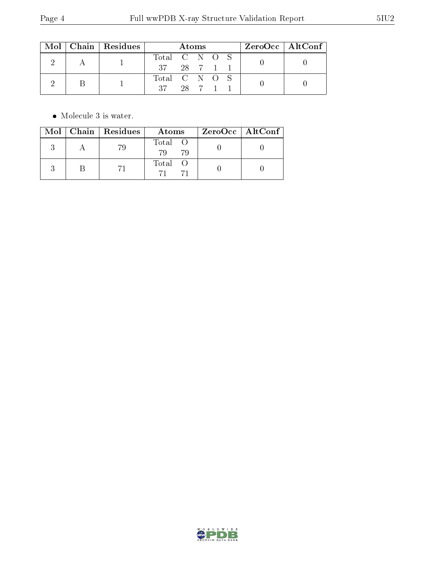| Mol | $\mid$ Chain $\mid$ Residues $\mid$ | Atoms         |  |        | $\rm ZeroOcc \mid AltConf$ |  |  |  |
|-----|-------------------------------------|---------------|--|--------|----------------------------|--|--|--|
|     |                                     | Total C N O S |  |        |                            |  |  |  |
|     |                                     | 37 28 7 1 1   |  |        |                            |  |  |  |
|     |                                     | Total C N O S |  |        |                            |  |  |  |
|     |                                     | $-27$         |  | 28 7 1 |                            |  |  |  |

 $\bullet\,$  Molecule 3 is water.

|  | Mol   Chain   Residues | Atoms         | ZeroOcc   AltConf |
|--|------------------------|---------------|-------------------|
|  | 79                     | Total O<br>79 |                   |
|  |                        | Total         |                   |

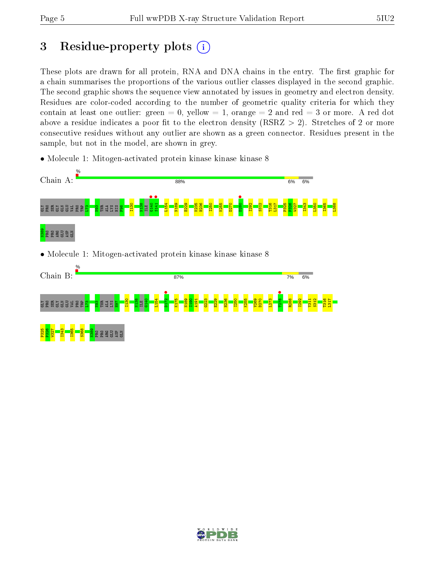# 3 Residue-property plots  $(i)$

These plots are drawn for all protein, RNA and DNA chains in the entry. The first graphic for a chain summarises the proportions of the various outlier classes displayed in the second graphic. The second graphic shows the sequence view annotated by issues in geometry and electron density. Residues are color-coded according to the number of geometric quality criteria for which they contain at least one outlier: green  $= 0$ , yellow  $= 1$ , orange  $= 2$  and red  $= 3$  or more. A red dot above a residue indicates a poor fit to the electron density (RSRZ  $> 2$ ). Stretches of 2 or more consecutive residues without any outlier are shown as a green connector. Residues present in the sample, but not in the model, are shown in grey.

• Molecule 1: Mitogen-activated protein kinase kinase kinase 8



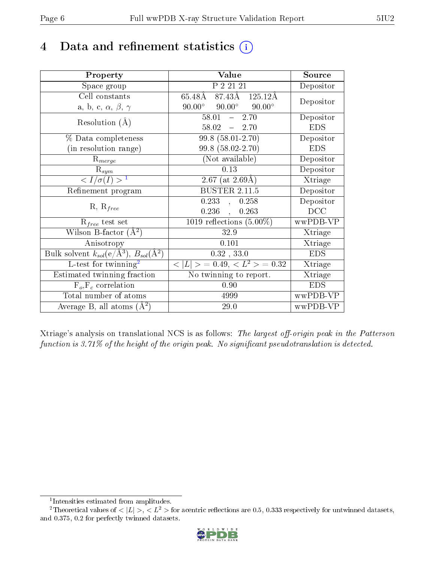# 4 Data and refinement statistics  $(i)$

| Property                                                         | Value                                                                             | Source     |
|------------------------------------------------------------------|-----------------------------------------------------------------------------------|------------|
| Space group                                                      | P 2 21 21                                                                         | Depositor  |
| Cell constants                                                   | $65.48\overline{\text{A}}$ $87.43\overline{\text{A}}$ $125.12\overline{\text{A}}$ | Depositor  |
| a, b, c, $\alpha$ , $\beta$ , $\gamma$                           | $90.00^{\circ}$ $90.00^{\circ}$<br>$90.00^\circ$                                  |            |
| Resolution $(A)$                                                 | $-2.70$<br>58.01                                                                  | Depositor  |
|                                                                  | $58.02 - 2.70$                                                                    | <b>EDS</b> |
| % Data completeness                                              | 99.8 (58.01-2.70)                                                                 | Depositor  |
| (in resolution range)                                            | 99.8 (58.02-2.70)                                                                 | <b>EDS</b> |
| $R_{merge}$                                                      | (Not available)                                                                   | Depositor  |
| $\mathrm{R}_{sym}$                                               | 0.13                                                                              | Depositor  |
| $\langle I/\sigma(I) \rangle^{-1}$                               | $\overline{2.67}$ (at 2.69Å)                                                      | Xtriage    |
| Refinement program                                               | BUSTER $2.11.5$                                                                   | Depositor  |
|                                                                  | 0.233,<br>0.258                                                                   | Depositor  |
| $R, R_{free}$                                                    | $0.236$ ,<br>0.263                                                                | DCC        |
| $R_{free}$ test set                                              | 1019 reflections $(5.00\%)$                                                       | wwPDB-VP   |
| Wilson B-factor $(A^2)$                                          | 32.9                                                                              | Xtriage    |
| Anisotropy                                                       | 0.101                                                                             | Xtriage    |
| Bulk solvent $k_{sol}(\text{e}/\text{A}^3), B_{sol}(\text{A}^2)$ | $0.32$ , $33.0\,$                                                                 | <b>EDS</b> |
| L-test for $\mathrm{twinning}^2$                                 | $< L >$ = 0.49, $< L^2 >$ = 0.32                                                  | Xtriage    |
| Estimated twinning fraction                                      | No twinning to report.                                                            | Xtriage    |
| $F_o, F_c$ correlation                                           | 0.90                                                                              | <b>EDS</b> |
| Total number of atoms                                            | 4999                                                                              | wwPDB-VP   |
| Average B, all atoms $(A^2)$                                     | 29.0                                                                              | wwPDB-VP   |

Xtriage's analysis on translational NCS is as follows: The largest off-origin peak in the Patterson function is  $3.71\%$  of the height of the origin peak. No significant pseudotranslation is detected.

<sup>&</sup>lt;sup>2</sup>Theoretical values of  $\langle |L| \rangle$ ,  $\langle L^2 \rangle$  for acentric reflections are 0.5, 0.333 respectively for untwinned datasets, and 0.375, 0.2 for perfectly twinned datasets.



<span id="page-5-1"></span><span id="page-5-0"></span><sup>1</sup> Intensities estimated from amplitudes.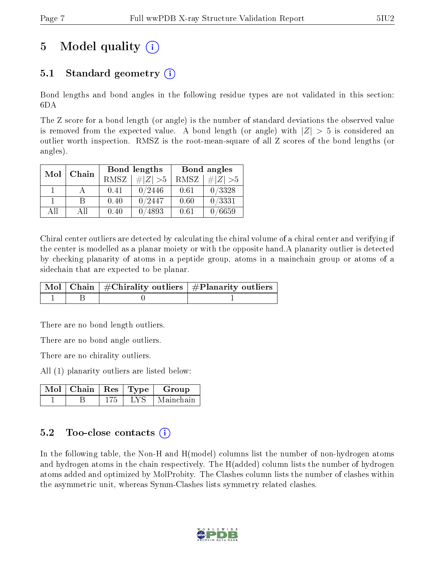# 5 Model quality  $(i)$

# 5.1 Standard geometry  $\overline{()}$

Bond lengths and bond angles in the following residue types are not validated in this section: 6DA

The Z score for a bond length (or angle) is the number of standard deviations the observed value is removed from the expected value. A bond length (or angle) with  $|Z| > 5$  is considered an outlier worth inspection. RMSZ is the root-mean-square of all Z scores of the bond lengths (or angles).

| Mol | Chain |             | Bond lengths | Bond angles |             |  |
|-----|-------|-------------|--------------|-------------|-------------|--|
|     |       | <b>RMSZ</b> | $\# Z  > 5$  | RMSZ        | # $ Z  > 5$ |  |
|     |       | 0.41        | 0/2446       | 0.61        | 0/3328      |  |
|     | R     | 0.40        | 0/2447       | 0.60        | 0/3331      |  |
| AH  | A 11  | 0.40        | 4893         | 0.61        | 0/6659      |  |

Chiral center outliers are detected by calculating the chiral volume of a chiral center and verifying if the center is modelled as a planar moiety or with the opposite hand.A planarity outlier is detected by checking planarity of atoms in a peptide group, atoms in a mainchain group or atoms of a sidechain that are expected to be planar.

|  | $\mid$ Mol $\mid$ Chain $\mid$ #Chirality outliers $\mid$ #Planarity outliers $\mid$ |
|--|--------------------------------------------------------------------------------------|
|  |                                                                                      |

There are no bond length outliers.

There are no bond angle outliers.

There are no chirality outliers.

All (1) planarity outliers are listed below:

| $Mol$   Chain | $\operatorname{Res}$   Type $\overline{\phantom{a}}$ | Group     |
|---------------|------------------------------------------------------|-----------|
|               |                                                      | Mainchain |

### $5.2$  Too-close contacts  $(i)$

In the following table, the Non-H and H(model) columns list the number of non-hydrogen atoms and hydrogen atoms in the chain respectively. The H(added) column lists the number of hydrogen atoms added and optimized by MolProbity. The Clashes column lists the number of clashes within the asymmetric unit, whereas Symm-Clashes lists symmetry related clashes.

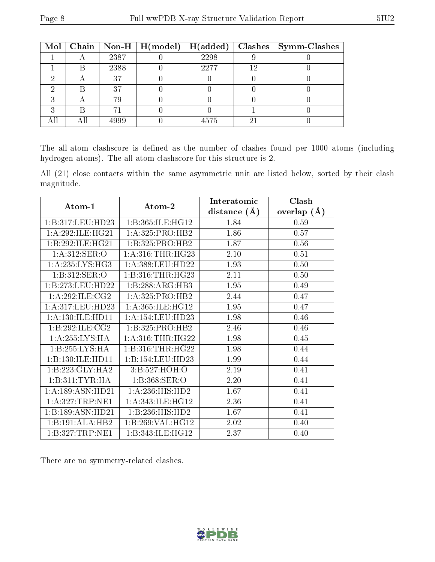|  |      | Mol   Chain   Non-H   $H (model)$   $H (added)$ |      |    | Clashes   Symm-Clashes |
|--|------|-------------------------------------------------|------|----|------------------------|
|  | 2387 |                                                 | 2298 |    |                        |
|  | 2388 |                                                 | 2277 |    |                        |
|  | 37   |                                                 |      |    |                        |
|  | 37   |                                                 |      |    |                        |
|  | 79   |                                                 |      |    |                        |
|  |      |                                                 |      |    |                        |
|  | 4999 |                                                 | 4575 | 21 |                        |

The all-atom clashscore is defined as the number of clashes found per 1000 atoms (including hydrogen atoms). The all-atom clashscore for this structure is 2.

All (21) close contacts within the same asymmetric unit are listed below, sorted by their clash magnitude.

|                      |                      | Interatomic    | Clash         |
|----------------------|----------------------|----------------|---------------|
| Atom-1               | Atom-2               | distance $(A)$ | overlap $(A)$ |
| 1:B:317:LEU:HD23     | 1:B:365:ILE:HG12     | 1.84           | 0.59          |
| 1: A:292: ILE: HG21  | 1: A: 325: PRO: HB2  | 1.86           | 0.57          |
| 1:B:292:ILE:HG21     | 1:B:325:PRO:HB2      | 1.87           | 0.56          |
| 1: A:312: SER: O     | 1: A:316:THR:HG23    | 2.10           | 0.51          |
| 1:A:235:LYS:HG3      | 1: A:388:LEU:HD22    | 1.93           | 0.50          |
| 1:B:312:SER:O        | 1:B:316:THR:HG23     | 2.11           | 0.50          |
| 1:B:273:LEU:HD22     | 1:B:288:ARG:HB3      | 1.95           | 0.49          |
| 1:A:292:ILE:CG2      | 1:A:325:PRO:HB2      | 2.44           | 0.47          |
| 1:A:317:LEU:HD23     | 1:A:365:ILE:HG12     | 1.95           | 0.47          |
| 1: A: 130: ILE: HD11 | 1: A:154:LEU:HD23    | 1.98           | 0.46          |
| 1:B:292:ILE:CG2      | 1:B:325:PRO:HB2      | 2.46           | 0.46          |
| 1: A: 255: LYS: HA   | 1: A:316:THR:HG22    | 1.98           | 0.45          |
| 1:B:255:LYS:HA       | 1: B: 316: THR: HG22 | 1.98           | 0.44          |
| 1:B:130:ILE:HD11     | 1:B:154:LEU:HD23     | 1.99           | 0.44          |
| 1:B:223:GLY:HA2      | 3:B:527:HOH:O        | 2.19           | 0.41          |
| 1:B:311:TYR:HA       | 1:B:368:SER:O        | 2.20           | 0.41          |
| 1:A:189:ASN:HD21     | 1: A:236: HIS: HD2   | 1.67           | 0.41          |
| 1: A:327:TRP:NE1     | 1: A:343: ILE: HG12  | 2.36           | 0.41          |
| 1:B:189:ASN:HD21     | 1:B:236:HIS:HD2      | 1.67           | 0.41          |
| 1:B:191:ALA:HB2      | 1:B:269:VAL:HG12     | 2.02           | 0.40          |
| 1:B:327:TRP:NE1      | 1:B:343:ILE:HG12     | 2.37           | 0.40          |

There are no symmetry-related clashes.

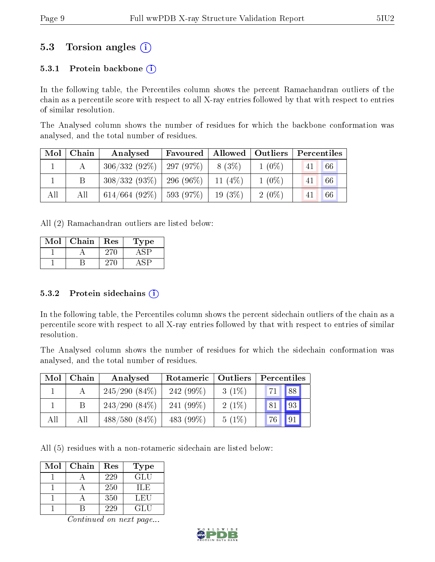## 5.3 Torsion angles (i)

### 5.3.1 Protein backbone  $(i)$

In the following table, the Percentiles column shows the percent Ramachandran outliers of the chain as a percentile score with respect to all X-ray entries followed by that with respect to entries of similar resolution.

The Analysed column shows the number of residues for which the backbone conformation was analysed, and the total number of residues.

| Mol | Chain | Analysed                     | Favoured |           | Allowed   Outliers | Percentiles |
|-----|-------|------------------------------|----------|-----------|--------------------|-------------|
|     |       | $306/332(92\%)$   297 (97\%) |          | $8(3\%)$  | $1(0\%)$           | 66          |
|     |       | $308/332(93\%)$   296 (96\%) |          | 11 $(4%)$ | $1(0\%)$           | 66<br>41    |
| All | All   | 614/664 (92\%)               | 593(97%) | $19(3\%)$ | $2(0\%)$           | 66          |

All (2) Ramachandran outliers are listed below:

| Mol | Chain | Res | Type |
|-----|-------|-----|------|
|     |       |     |      |
|     |       |     |      |

#### 5.3.2 Protein sidechains  $(i)$

In the following table, the Percentiles column shows the percent sidechain outliers of the chain as a percentile score with respect to all X-ray entries followed by that with respect to entries of similar resolution.

The Analysed column shows the number of residues for which the sidechain conformation was analysed, and the total number of residues.

| Mol | Chain | Analysed        | Rotameric    | Outliers | Percentiles |  |  |
|-----|-------|-----------------|--------------|----------|-------------|--|--|
|     |       | $245/290(84\%)$ | 242 (99%)    | $3(1\%)$ | 88<br>71    |  |  |
|     |       | $243/290(84\%)$ | 241 $(99\%)$ | $2(1\%)$ | 93<br>81    |  |  |
| All | All   | $488/580(84\%)$ | 483 (99\%)   | $5(1\%)$ | 91<br>76    |  |  |

All (5) residues with a non-rotameric sidechain are listed below:

| Mol | Chain | Res | Type |
|-----|-------|-----|------|
|     |       | 229 | GLU  |
|     |       | 250 | НE   |
|     |       | 350 | LEU  |
|     |       | 229 | GLU  |

Continued on next page...

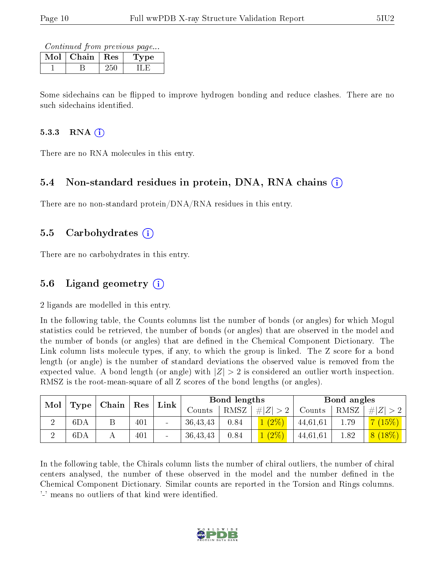Continued from previous page...

| Mol | Chain   Res | ype |
|-----|-------------|-----|
|     |             |     |

Some sidechains can be flipped to improve hydrogen bonding and reduce clashes. There are no such sidechains identified.

#### $5.3.3$  RNA  $(i)$

There are no RNA molecules in this entry.

#### 5.4 Non-standard residues in protein, DNA, RNA chains (i)

There are no non-standard protein/DNA/RNA residues in this entry.

#### 5.5 Carbohydrates (i)

There are no carbohydrates in this entry.

### 5.6 Ligand geometry (i)

2 ligands are modelled in this entry.

In the following table, the Counts columns list the number of bonds (or angles) for which Mogul statistics could be retrieved, the number of bonds (or angles) that are observed in the model and the number of bonds (or angles) that are defined in the Chemical Component Dictionary. The Link column lists molecule types, if any, to which the group is linked. The Z score for a bond length (or angle) is the number of standard deviations the observed value is removed from the expected value. A bond length (or angle) with  $|Z| > 2$  is considered an outlier worth inspection. RMSZ is the root-mean-square of all Z scores of the bond lengths (or angles).

|     | $_+$ Mol $\mid$ Type $\mid$ Chain $\mid$ Res $\mid$ |     | Link           |            | Bond lengths |             |          | Bond angles |                        |
|-----|-----------------------------------------------------|-----|----------------|------------|--------------|-------------|----------|-------------|------------------------|
|     |                                                     |     |                | Counts     | RMSZ         | # $ Z  > 2$ | Counts   | $^+$ RMSZ   | # $ Z  > 2$            |
| 6DA |                                                     | 401 |                | 36, 43, 43 | 0.84         | $1(2\%)$    | 44,61,61 | 1.79        | $ 7(15\%) $            |
| 6DA |                                                     | 401 | $\blacksquare$ | 36, 43, 43 | 0.84         | $1(2\%)$    | 44,61,61 | 1.82        | $\mid 8 \ (18\%) \mid$ |

In the following table, the Chirals column lists the number of chiral outliers, the number of chiral centers analysed, the number of these observed in the model and the number defined in the Chemical Component Dictionary. Similar counts are reported in the Torsion and Rings columns. '-' means no outliers of that kind were identified.

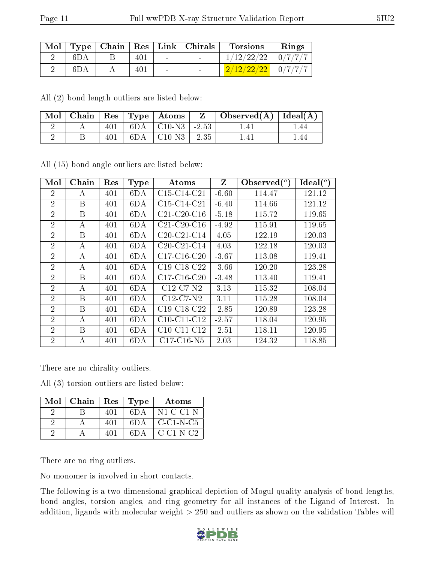|--|--|

| Mol |     |  |        | $\vert$ Type $\vert$ Chain $\vert$ Res $\vert$ Link $\vert$ Chirals | <b>Torsions</b>                                    | Rings |
|-----|-----|--|--------|---------------------------------------------------------------------|----------------------------------------------------|-------|
|     | 6DA |  | $\sim$ | <b>Contract Contract</b>                                            | $1/12/22/22$   $0/7/7/7$                           |       |
|     | 6DA |  | $\sim$ |                                                                     | $\frac{1}{2}/\frac{12}{22}/\frac{22}{2}$   0/7/7/7 |       |

All (2) bond length outliers are listed below:

|  |     | $\mid$ Mol $\mid$ Chain $\mid$ Res $\mid$ Type $\mid$ Atoms $\mid$ | $\mathbf{Z}$ | $\perp$ Observed( $\AA$ )   Ideal( $\AA$ ) |  |
|--|-----|--------------------------------------------------------------------|--------------|--------------------------------------------|--|
|  |     | $401$   6DA   C10-N3   -2.53                                       |              | .41                                        |  |
|  | 401 | $6DA$   $C10-N3$   $-2.35$                                         |              | l 41                                       |  |

All (15) bond angle outliers are listed below:

| Mol            | Chain | Res | <b>Type</b>     | Atoms                                             | Z       | Observed( | Ideal (°) |
|----------------|-------|-----|-----------------|---------------------------------------------------|---------|-----------|-----------|
| $\overline{2}$ | А     | 401 | 6 <sub>DA</sub> | $C15-C14-C21$                                     | $-6.60$ | 114.47    | 121.12    |
| $\overline{2}$ | B     | 401 | 6DA             | $C15-C14-C21$                                     | $-6.40$ | 114.66    | 121.12    |
| $\overline{2}$ | В     | 401 | 6 <sub>DA</sub> | $C21-C20-C16$                                     | $-5.18$ | 115.72    | 119.65    |
| $\overline{2}$ | А     | 401 | 6 <sub>DA</sub> | $C21-C20-C16$                                     | $-4.92$ | 115.91    | 119.65    |
| $\overline{2}$ | B     | 401 | 6DA             | $C20-C21-C14$                                     | 4.05    | 122.19    | 120.03    |
| $\overline{2}$ | А     | 401 | 6DA             | C <sub>20</sub> -C <sub>21</sub> -C <sub>14</sub> | 4.03    | 122.18    | 120.03    |
| $\overline{2}$ | А     | 401 | 6DA             | $C17-C16-C20$                                     | $-3.67$ | 113.08    | 119.41    |
| $\overline{2}$ | А     | 401 | 6DA             | $C19-C18-C22$                                     | $-3.66$ | 120.20    | 123.28    |
| $\overline{2}$ | B     | 401 | 6DA             | $C17-C16-C20$                                     | $-3.48$ | 113.40    | 119.41    |
| $\overline{2}$ | А     | 401 | 6DA             | $C12-C7-N2$                                       | 3.13    | 115.32    | 108.04    |
| $\overline{2}$ | B     | 401 | 6DA             | $C12$ - $C7$ - $N2$                               | 3.11    | 115.28    | 108.04    |
| $\overline{2}$ | B     | 401 | 6DA             | $C19-C18-C22$                                     | $-2.85$ | 120.89    | 123.28    |
| $\overline{2}$ | А     | 401 | 6DA             | $C10-C11-C12$                                     | $-2.57$ | 118.04    | 120.95    |
| $\overline{2}$ | B     | 401 | 6DA             | $C10-C11-C12$                                     | $-2.51$ | 118.11    | 120.95    |
| $\overline{2}$ | А     | 401 | 6DA             | $C17-C16-N5$                                      | 2.03    | 124.32    | 118.85    |

There are no chirality outliers.

All (3) torsion outliers are listed below:

| Mol   Chain | Res  | $\vert$ Type | Atoms       |
|-------------|------|--------------|-------------|
|             | 401  | 6D A         | $N1-C-C1-N$ |
|             | -401 | 6D A         | C-C1-N-C5   |
|             | 401  | 6 D A        | $C-C1-N-C2$ |

There are no ring outliers.

No monomer is involved in short contacts.

The following is a two-dimensional graphical depiction of Mogul quality analysis of bond lengths, bond angles, torsion angles, and ring geometry for all instances of the Ligand of Interest. In addition, ligands with molecular weight  $> 250$  and outliers as shown on the validation Tables will

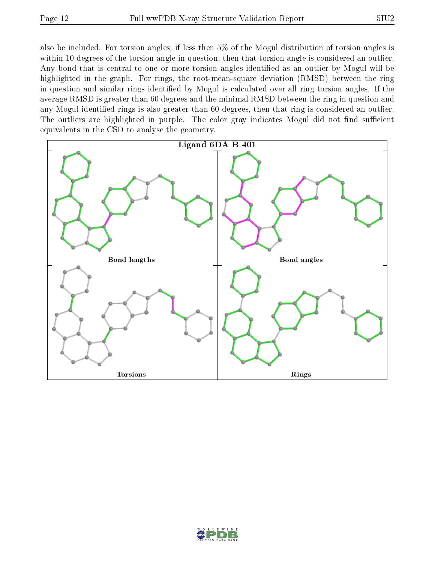also be included. For torsion angles, if less then 5% of the Mogul distribution of torsion angles is within 10 degrees of the torsion angle in question, then that torsion angle is considered an outlier. Any bond that is central to one or more torsion angles identified as an outlier by Mogul will be highlighted in the graph. For rings, the root-mean-square deviation (RMSD) between the ring in question and similar rings identified by Mogul is calculated over all ring torsion angles. If the average RMSD is greater than 60 degrees and the minimal RMSD between the ring in question and any Mogul-identified rings is also greater than 60 degrees, then that ring is considered an outlier. The outliers are highlighted in purple. The color gray indicates Mogul did not find sufficient equivalents in the CSD to analyse the geometry.



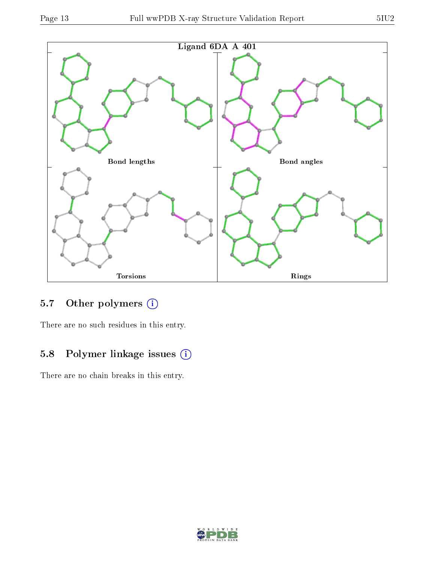

### 5.7 [O](https://www.wwpdb.org/validation/2017/XrayValidationReportHelp#nonstandard_residues_and_ligands)ther polymers (i)

There are no such residues in this entry.

# 5.8 Polymer linkage issues (i)

There are no chain breaks in this entry.

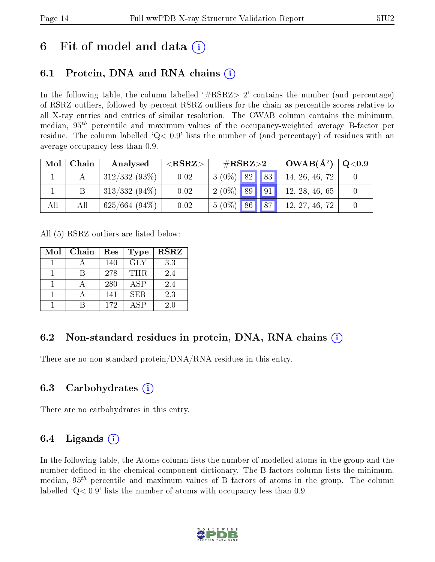# 6 Fit of model and data  $\left( \cdot \right)$

# 6.1 Protein, DNA and RNA chains (i)

In the following table, the column labelled  $#RSRZ>2'$  contains the number (and percentage) of RSRZ outliers, followed by percent RSRZ outliers for the chain as percentile scores relative to all X-ray entries and entries of similar resolution. The OWAB column contains the minimum, median,  $95<sup>th</sup>$  percentile and maximum values of the occupancy-weighted average B-factor per residue. The column labelled  $Q< 0.9$  lists the number of (and percentage) of residues with an average occupancy less than 0.9.

| Mol | Chain | Analysed         | ${ <\hspace{-1.5pt}{\mathrm{RSRZ}} \hspace{-1.5pt}>}$ | $\#\text{RSRZ}{>}2$ | $OWAB(A^2)$    | $\rm Q\textcolor{black}{<}0.9$ |
|-----|-------|------------------|-------------------------------------------------------|---------------------|----------------|--------------------------------|
|     |       | $312/332(93\%)$  | 0.02                                                  | $3(0\%)$ 82 83      | 14, 26, 46, 72 |                                |
|     | B     | $313/332(94\%)$  | 0.02                                                  | $2(0\%)$ 89 91      | 12, 28, 46, 65 |                                |
| All | Αll   | $625/664$ (94\%) | 0.02                                                  | $5(0\%)$ 86   87    | 12, 27, 46, 72 |                                |

All (5) RSRZ outliers are listed below:

| Mol | Chain | Res | <b>Type</b> | $\overline{\text{RSR}}$ |
|-----|-------|-----|-------------|-------------------------|
|     |       | 140 | <b>GLY</b>  | 3.3                     |
|     |       | 278 | <b>THR</b>  | 2.4                     |
|     |       | 280 | ASP         | 2.4                     |
|     |       | 141 | SER.        | 2.3                     |
|     |       | 172 | A SP        | 2.0                     |

### 6.2 Non-standard residues in protein, DNA, RNA chains  $(i)$

There are no non-standard protein/DNA/RNA residues in this entry.

### 6.3 Carbohydrates (i)

There are no carbohydrates in this entry.

## 6.4 Ligands  $(i)$

In the following table, the Atoms column lists the number of modelled atoms in the group and the number defined in the chemical component dictionary. The B-factors column lists the minimum, median,  $95<sup>th</sup>$  percentile and maximum values of B factors of atoms in the group. The column labelled  $Q< 0.9$  lists the number of atoms with occupancy less than 0.9.

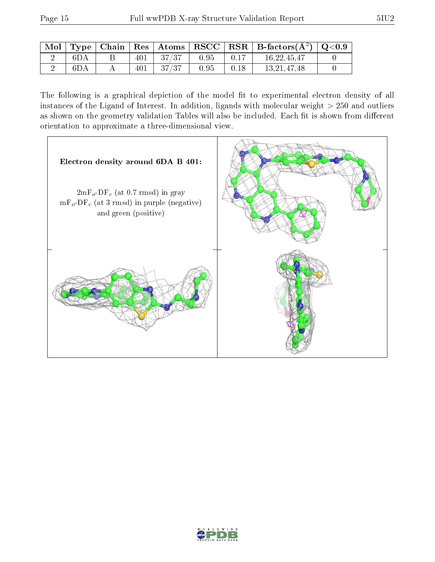|     |  |                 |      |      | $\vert$ Mol $\vert$ Type $\vert$ Chain $\vert$ Res $\vert$ Atoms $\vert$ RSCC $\vert$ RSR $\vert$ B-factors(A <sup>2</sup> ) $\vert$ Q<0.9 |  |
|-----|--|-----------------|------|------|--------------------------------------------------------------------------------------------------------------------------------------------|--|
| 6DA |  | $401$   $37/37$ | 0.95 | 0.17 | -16.22.45.47                                                                                                                               |  |
| 6DA |  | $401$   $37/37$ | 0.95 | 0.18 | -13.21.47.48                                                                                                                               |  |

The following is a graphical depiction of the model fit to experimental electron density of all instances of the Ligand of Interest. In addition, ligands with molecular weight  $> 250$  and outliers as shown on the geometry validation Tables will also be included. Each fit is shown from different orientation to approximate a three-dimensional view.